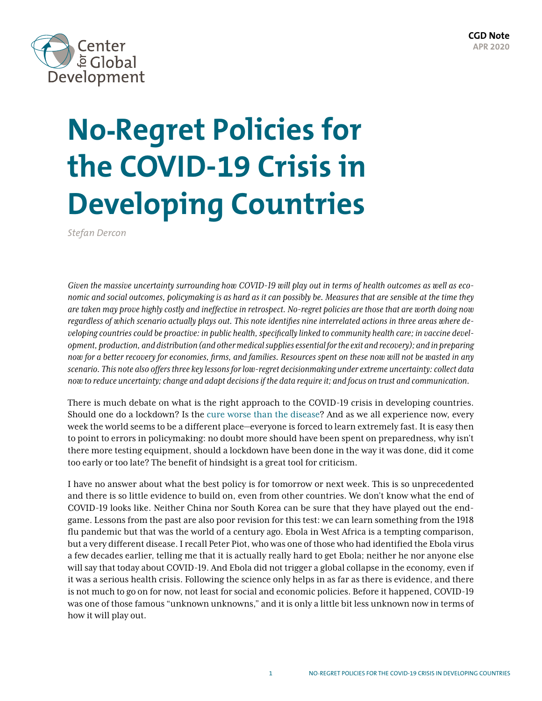

# **No-Regret Policies for the COVID-19 Crisis in Developing Countries**

*Stefan Dercon*

*Given the massive uncertainty surrounding how COVID-19 will play out in terms of health outcomes as well as economic and social outcomes, policymaking is as hard as it can possibly be. Measures that are sensible at the time they are taken may prove highly costly and ineffective in retrospect. No-regret policies are those that are worth doing now regardless of which scenario actually plays out. This note identifies nine interrelated actions in three areas where developing countries could be proactive: in public health, specifically linked to community health care; in vaccine development, production, and distribution (and other medical supplies essential for the exit and recovery); and in preparing now for a better recovery for economies, firms, and families. Resources spent on these now will not be wasted in any scenario. This note also offers three key lessons for low-regret decisionmaking under extreme uncertainty: collect data now to reduce uncertainty; change and adapt decisions if the data require it; and focus on trust and communication.*

There is much debate on what is the right approach to the COVID-19 crisis in developing countries. Should one do a lockdown? Is the [cure worse than the disease](https://foreignpolicy.com/2020/04/10/poor-countries-social-distancing-coronavirus/)? And as we all experience now, every week the world seems to be a different place—everyone is forced to learn extremely fast. It is easy then to point to errors in policymaking: no doubt more should have been spent on preparedness, why isn't there more testing equipment, should a lockdown have been done in the way it was done, did it come too early or too late? The benefit of hindsight is a great tool for criticism.

I have no answer about what the best policy is for tomorrow or next week. This is so unprecedented and there is so little evidence to build on, even from other countries. We don't know what the end of COVID-19 looks like. Neither China nor South Korea can be sure that they have played out the endgame. Lessons from the past are also poor revision for this test: we can learn something from the 1918 flu pandemic but that was the world of a century ago. Ebola in West Africa is a tempting comparison, but a very different disease. I recall Peter Piot, who was one of those who had identified the Ebola virus a few decades earlier, telling me that it is actually really hard to get Ebola; neither he nor anyone else will say that today about COVID-19. And Ebola did not trigger a global collapse in the economy, even if it was a serious health crisis. Following the science only helps in as far as there is evidence, and there is not much to go on for now, not least for social and economic policies. Before it happened, COVID-19 was one of those famous "unknown unknowns," and it is only a little bit less unknown now in terms of how it will play out.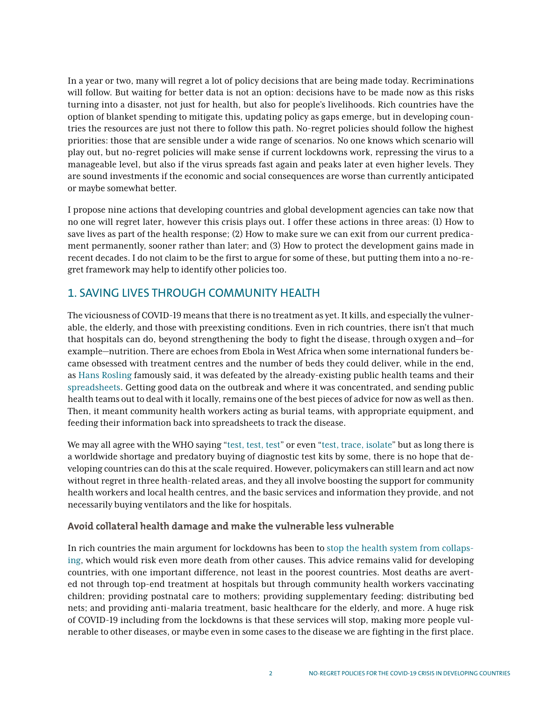In a year or two, many will regret a lot of policy decisions that are being made today. Recriminations will follow. But waiting for better data is not an option: decisions have to be made now as this risks turning into a disaster, not just for health, but also for people's livelihoods. Rich countries have the option of blanket spending to mitigate this, updating policy as gaps emerge, but in developing countries the resources are just not there to follow this path. No-regret policies should follow the highest priorities: those that are sensible under a wide range of scenarios. No one knows which scenario will play out, but no-regret policies will make sense if current lockdowns work, repressing the virus to a manageable level, but also if the virus spreads fast again and peaks later at even higher levels. They are sound investments if the economic and social consequences are worse than currently anticipated or maybe somewhat better.

I propose nine actions that developing countries and global development agencies can take now that no one will regret later, however this crisis plays out. I offer these actions in three areas: (1) How to save lives as part of the health response; (2) How to make sure we can exit from our current predicament permanently, sooner rather than later; and (3) How to protect the development gains made in recent decades. I do not claim to be the first to argue for some of these, but putting them into a no-regret framework may help to identify other policies too.

# 1. SAVING LIVES THROUGH COMMUNITY HEALTH

The viciousness of COVID-19 means that there is no treatment as yet. It kills, and especially the vulnerable, the elderly, and those with preexisting conditions. Even in rich countries, there isn't that much that hospitals can do, beyond strengthening the body to fight the disease, through oxygen and—for example—nutrition. There are echoes from Ebola in West Africa when some international funders became obsessed with treatment centres and the number of beds they could deliver, while in the end, as [Hans Rosling](https://blogs.bmj.com/bmj/2017/02/14/seeing-human-lives-in-spreadsheets-the-work-of-hans-rosling/) famously said, it was defeated by the already-existing public health teams and their [spreadsheets.](https://successfulsocieties.princeton.edu/interviews/hans-rosling) Getting good data on the outbreak and where it was concentrated, and sending public health teams out to deal with it locally, remains one of the best pieces of advice for now as well as then. Then, it meant community health workers acting as burial teams, with appropriate equipment, and feeding their information back into spreadsheets to track the disease.

We may all agree with the WHO saying "[test, test, test"](https://www.bbc.com/news/av/world-51916707/who-head-our-key-message-is-test-test-test) or even "[test, trace, isolate"](https://www.weforum.org/agenda/2020/03/testing-tracing-backbone-who-coronavirus-wednesdays-briefing/) but as long there is a worldwide shortage and predatory buying of diagnostic test kits by some, there is no hope that developing countries can do this at the scale required. However, policymakers can still learn and act now without regret in three health-related areas, and they all involve boosting the support for community health workers and local health centres, and the basic services and information they provide, and not necessarily buying ventilators and the like for hospitals.

## **Avoid collateral health damage and make the vulnerable less vulnerable**

In rich countries the main argument for lockdowns has been to [stop the health system from collaps](https://www.imperial.ac.uk/media/imperial-college/medicine/sph/ide/gida-fellowships/Imperial-College-COVID19-Global-Impact-26-03-2020v2.pdf)[ing](https://www.imperial.ac.uk/media/imperial-college/medicine/sph/ide/gida-fellowships/Imperial-College-COVID19-Global-Impact-26-03-2020v2.pdf), which would risk even more death from other causes. This advice remains valid for developing countries, with one important difference, not least in the poorest countries. Most deaths are averted not through top-end treatment at hospitals but through community health workers vaccinating children; providing postnatal care to mothers; providing supplementary feeding; distributing bed nets; and providing anti-malaria treatment, basic healthcare for the elderly, and more. A huge risk of COVID-19 including from the lockdowns is that these services will stop, making more people vulnerable to other diseases, or maybe even in some cases to the disease we are fighting in the first place.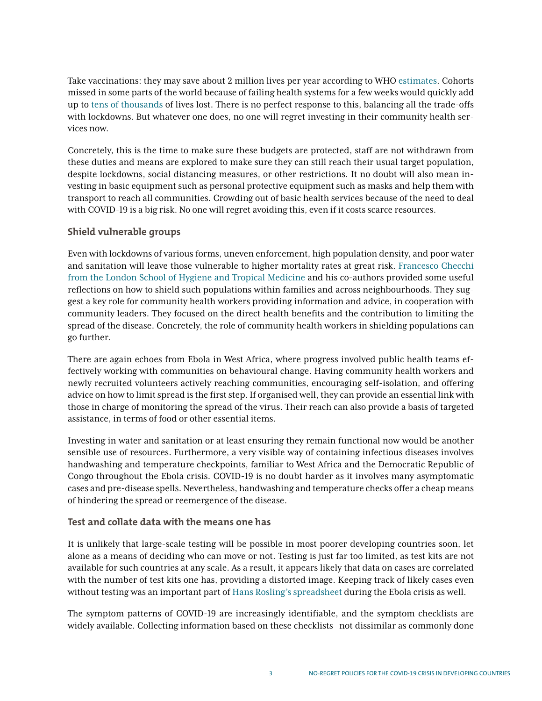Take vaccinations: they may save about 2 million lives per year according to WHO [estimates.](https://www.who.int/publications/10-year-review/vaccines/en/) Cohorts missed in some parts of the world because of failing health systems for a few weeks would quickly add up to [tens of thousands](https://cmmid.github.io/topics/covid19/control-measures/EPI-suspension.html) of lives lost. There is no perfect response to this, balancing all the trade-offs with lockdowns. But whatever one does, no one will regret investing in their community health services now.

Concretely, this is the time to make sure these budgets are protected, staff are not withdrawn from these duties and means are explored to make sure they can still reach their usual target population, despite lockdowns, social distancing measures, or other restrictions. It no doubt will also mean investing in basic equipment such as personal protective equipment such as masks and help them with transport to reach all communities. Crowding out of basic health services because of the need to deal with COVID-19 is a big risk. No one will regret avoiding this, even if it costs scarce resources.

## **Shield vulnerable groups**

Even with lockdowns of various forms, uneven enforcement, high population density, and poor water and sanitation will leave those vulnerable to higher mortality rates at great risk. [Francesco Checchi](https://www.lshtm.ac.uk/newsevents/news/2020/covid-19-control-low-income-settings-and-displaced-populations-what-can)  [from the London School of Hygiene and Tropical Medicine](https://www.lshtm.ac.uk/newsevents/news/2020/covid-19-control-low-income-settings-and-displaced-populations-what-can) and his co-authors provided some useful reflections on how to shield such populations within families and across neighbourhoods. They suggest a key role for community health workers providing information and advice, in cooperation with community leaders. They focused on the direct health benefits and the contribution to limiting the spread of the disease. Concretely, the role of community health workers in shielding populations can go further.

There are again echoes from Ebola in West Africa, where progress involved public health teams effectively working with communities on behavioural change. Having community health workers and newly recruited volunteers actively reaching communities, encouraging self-isolation, and offering advice on how to limit spread is the first step. If organised well, they can provide an essential link with those in charge of monitoring the spread of the virus. Their reach can also provide a basis of targeted assistance, in terms of food or other essential items.

Investing in water and sanitation or at least ensuring they remain functional now would be another sensible use of resources. Furthermore, a very visible way of containing infectious diseases involves handwashing and temperature checkpoints, familiar to West Africa and the Democratic Republic of Congo throughout the Ebola crisis. COVID-19 is no doubt harder as it involves many asymptomatic cases and pre-disease spells. Nevertheless, handwashing and temperature checks offer a cheap means of hindering the spread or reemergence of the disease.

#### **Test and collate data with the means one has**

It is unlikely that large-scale testing will be possible in most poorer developing countries soon, let alone as a means of deciding who can move or not. Testing is just far too limited, as test kits are not available for such countries at any scale. As a result, it appears likely that data on cases are correlated with the number of test kits one has, providing a distorted image. Keeping track of likely cases even without testing was an important part of [Hans Rosling's spreadsheet](https://successfulsocieties.princeton.edu/interviews/hans-rosling) during the Ebola crisis as well.

The symptom patterns of COVID-19 are increasingly identifiable, and the symptom checklists are widely available. Collecting information based on these checklists—not dissimilar as commonly done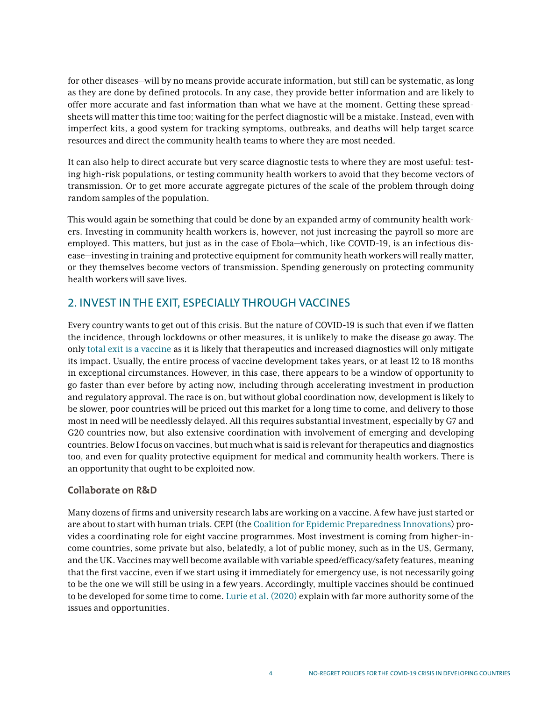for other diseases—will by no means provide accurate information, but still can be systematic, as long as they are done by defined protocols. In any case, they provide better information and are likely to offer more accurate and fast information than what we have at the moment. Getting these spreadsheets will matter this time too; waiting for the perfect diagnostic will be a mistake. Instead, even with imperfect kits, a good system for tracking symptoms, outbreaks, and deaths will help target scarce resources and direct the community health teams to where they are most needed.

It can also help to direct accurate but very scarce diagnostic tests to where they are most useful: testing high-risk populations, or testing community health workers to avoid that they become vectors of transmission. Or to get more accurate aggregate pictures of the scale of the problem through doing random samples of the population.

This would again be something that could be done by an expanded army of community health workers. Investing in community health workers is, however, not just increasing the payroll so more are employed. This matters, but just as in the case of Ebola—which, like COVID-19, is an infectious disease—investing in training and protective equipment for community heath workers will really matter, or they themselves become vectors of transmission. Spending generously on protecting community health workers will save lives.

# 2. INVEST IN THE EXIT, ESPECIALLY THROUGH VACCINES

Every country wants to get out of this crisis. But the nature of COVID-19 is such that even if we flatten the incidence, through lockdowns or other measures, it is unlikely to make the disease go away. The only [total exit is a vaccine](https://www.imperial.ac.uk/media/imperial-college/medicine/sph/ide/gida-fellowships/Imperial-College-COVID19-Global-Impact-26-03-2020v2.pdf) as it is likely that therapeutics and increased diagnostics will only mitigate its impact. Usually, the entire process of vaccine development takes years, or at least 12 to 18 months in exceptional circumstances. However, in this case, there appears to be a window of opportunity to go faster than ever before by acting now, including through accelerating investment in production and regulatory approval. The race is on, but without global coordination now, development is likely to be slower, poor countries will be priced out this market for a long time to come, and delivery to those most in need will be needlessly delayed. All this requires substantial investment, especially by G7 and G20 countries now, but also extensive coordination with involvement of emerging and developing countries. Below I focus on vaccines, but much what is said is relevant for therapeutics and diagnostics too, and even for quality protective equipment for medical and community health workers. There is an opportunity that ought to be exploited now.

#### **Collaborate on R&D**

Many dozens of firms and university research labs are working on a vaccine. A few have just started or are about to start with human trials. CEPI (the [Coalition for Epidemic Preparedness Innovations\)](https://cepi.net/) provides a coordinating role for eight vaccine programmes. Most investment is coming from higher-income countries, some private but also, belatedly, a lot of public money, such as in the US, Germany, and the UK. Vaccines may well become available with variable speed/efficacy/safety features, meaning that the first vaccine, even if we start using it immediately for emergency use, is not necessarily going to be the one we will still be using in a few years. Accordingly, multiple vaccines should be continued to be developed for some time to come. [Lurie et al. \(2020\)](https://www.nejm.org/doi/full/10.1056/NEJMp2005630) explain with far more authority some of the issues and opportunities.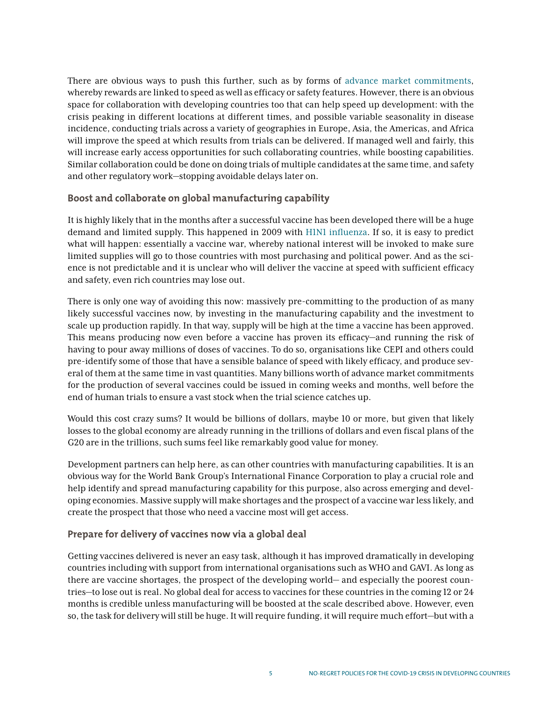There are obvious ways to push this further, such as by forms of [advance market commitments](https://www.cgdev.org/publication/financing-and-scaling-innovation-covid-fight-closer-look-demand-side-incentives-vaccine), whereby rewards are linked to speed as well as efficacy or safety features. However, there is an obvious space for collaboration with developing countries too that can help speed up development: with the crisis peaking in different locations at different times, and possible variable seasonality in disease incidence, conducting trials across a variety of geographies in Europe, Asia, the Americas, and Africa will improve the speed at which results from trials can be delivered. If managed well and fairly, this will increase early access opportunities for such collaborating countries, while boosting capabilities. Similar collaboration could be done on doing trials of multiple candidates at the same time, and safety and other regulatory work—stopping avoidable delays later on.

## **Boost and collaborate on global manufacturing capability**

It is highly likely that in the months after a successful vaccine has been developed there will be a huge demand and limited supply. This happened in 2009 with [H1N1 influenza.](https://journals.plos.org/plosmedicine/article?id=10.1371/journal.pmed.1000247) If so, it is easy to predict what will happen: essentially a vaccine war, whereby national interest will be invoked to make sure limited supplies will go to those countries with most purchasing and political power. And as the science is not predictable and it is unclear who will deliver the vaccine at speed with sufficient efficacy and safety, even rich countries may lose out.

There is only one way of avoiding this now: massively pre-committing to the production of as many likely successful vaccines now, by investing in the manufacturing capability and the investment to scale up production rapidly. In that way, supply will be high at the time a vaccine has been approved. This means producing now even before a vaccine has proven its efficacy—and running the risk of having to pour away millions of doses of vaccines. To do so, organisations like CEPI and others could pre-identify some of those that have a sensible balance of speed with likely efficacy, and produce several of them at the same time in vast quantities. Many billions worth of advance market commitments for the production of several vaccines could be issued in coming weeks and months, well before the end of human trials to ensure a vast stock when the trial science catches up.

Would this cost crazy sums? It would be billions of dollars, maybe 10 or more, but given that likely losses to the global economy are already running in the trillions of dollars and even fiscal plans of the G20 are in the trillions, such sums feel like remarkably good value for money.

Development partners can help here, as can other countries with manufacturing capabilities. It is an obvious way for the World Bank Group's International Finance Corporation to play a crucial role and help identify and spread manufacturing capability for this purpose, also across emerging and developing economies. Massive supply will make shortages and the prospect of a vaccine war less likely, and create the prospect that those who need a vaccine most will get access.

#### **Prepare for delivery of vaccines now via a global deal**

Getting vaccines delivered is never an easy task, although it has improved dramatically in developing countries including with support from international organisations such as WHO and GAVI. As long as there are vaccine shortages, the prospect of the developing world— and especially the poorest countries—to lose out is real. No global deal for access to vaccines for these countries in the coming 12 or 24 months is credible unless manufacturing will be boosted at the scale described above. However, even so, the task for delivery will still be huge. It will require funding, it will require much effort—but with a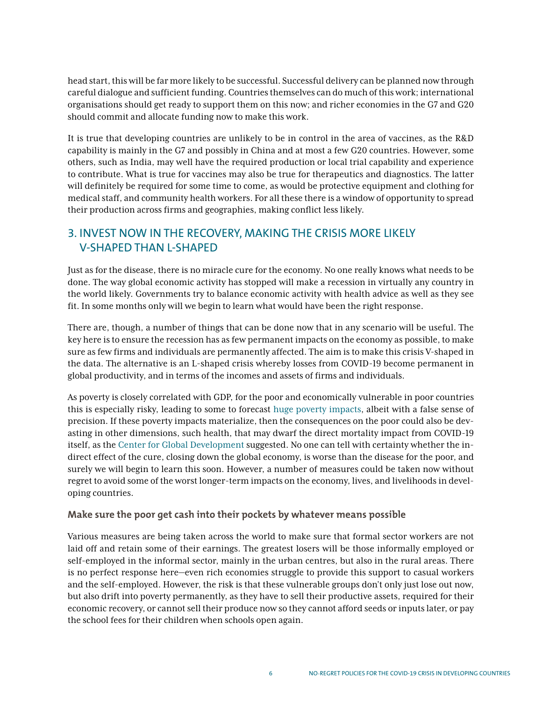head start, this will be far more likely to be successful. Successful delivery can be planned now through careful dialogue and sufficient funding. Countries themselves can do much of this work; international organisations should get ready to support them on this now; and richer economies in the G7 and G20 should commit and allocate funding now to make this work.

It is true that developing countries are unlikely to be in control in the area of vaccines, as the R&D capability is mainly in the G7 and possibly in China and at most a few G20 countries. However, some others, such as India, may well have the required production or local trial capability and experience to contribute. What is true for vaccines may also be true for therapeutics and diagnostics. The latter will definitely be required for some time to come, as would be protective equipment and clothing for medical staff, and community health workers. For all these there is a window of opportunity to spread their production across firms and geographies, making conflict less likely.

# 3. INVEST NOW IN THE RECOVERY, MAKING THE CRISIS MORE LIKELY V-SHAPED THAN L-SHAPED

Just as for the disease, there is no miracle cure for the economy. No one really knows what needs to be done. The way global economic activity has stopped will make a recession in virtually any country in the world likely. Governments try to balance economic activity with health advice as well as they see fit. In some months only will we begin to learn what would have been the right response.

There are, though, a number of things that can be done now that in any scenario will be useful. The key here is to ensure the recession has as few permanent impacts on the economy as possible, to make sure as few firms and individuals are permanently affected. The aim is to make this crisis V-shaped in the data. The alternative is an L-shaped crisis whereby losses from COVID-19 become permanent in global productivity, and in terms of the incomes and assets of firms and individuals.

As poverty is closely correlated with GDP, for the poor and economically vulnerable in poor countries this is especially risky, leading to some to forecast [huge poverty impacts](https://www.wider.unu.edu/publication/estimates-impact-covid-19-global-poverty), albeit with a false sense of precision. If these poverty impacts materialize, then the consequences on the poor could also be devasting in other dimensions, such health, that may dwarf the direct mortality impact from COVID-19 itself, as the [Center for Global Development](https://www.cgdev.org/blog/does-one-size-fit-all-realistic-alternatives-covid-19-response-low-income-countries) suggested. No one can tell with certainty whether the indirect effect of the cure, closing down the global economy, is worse than the disease for the poor, and surely we will begin to learn this soon. However, a number of measures could be taken now without regret to avoid some of the worst longer-term impacts on the economy, lives, and livelihoods in developing countries.

#### **Make sure the poor get cash into their pockets by whatever means possible**

Various measures are being taken across the world to make sure that formal sector workers are not laid off and retain some of their earnings. The greatest losers will be those informally employed or self-employed in the informal sector, mainly in the urban centres, but also in the rural areas. There is no perfect response here—even rich economies struggle to provide this support to casual workers and the self-employed. However, the risk is that these vulnerable groups don't only just lose out now, but also drift into poverty permanently, as they have to sell their productive assets, required for their economic recovery, or cannot sell their produce now so they cannot afford seeds or inputs later, or pay the school fees for their children when schools open again.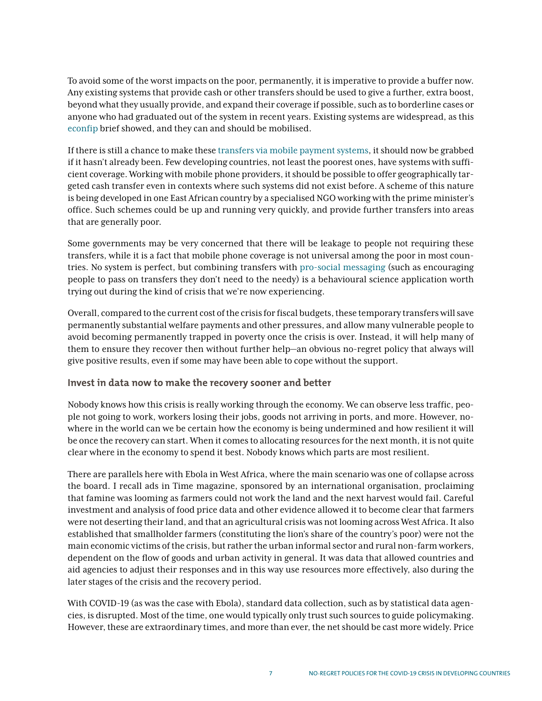To avoid some of the worst impacts on the poor, permanently, it is imperative to provide a buffer now. Any existing systems that provide cash or other transfers should be used to give a further, extra boost, beyond what they usually provide, and expand their coverage if possible, such as to borderline cases or anyone who had graduated out of the system in recent years. Existing systems are widespread, as this [econfip](https://econfip.org/policy-brief/social-protection-response-to-the-covid-19-crisis-options-for-developing-countries/) brief showed, and they can and should be mobilised.

If there is still a chance to make these [transfers via mobile payment systems](https://www.cgdev.org/blog/covid-19-how-countries-can-use-digital-payments-better-quicker-cash-transfers), it should now be grabbed if it hasn't already been. Few developing countries, not least the poorest ones, have systems with sufficient coverage. Working with mobile phone providers, it should be possible to offer geographically targeted cash transfer even in contexts where such systems did not exist before. A scheme of this nature is being developed in one East African country by a specialised NGO working with the prime minister's office. Such schemes could be up and running very quickly, and provide further transfers into areas that are generally poor.

Some governments may be very concerned that there will be leakage to people not requiring these transfers, while it is a fact that mobile phone coverage is not universal among the poor in most countries. No system is perfect, but combining transfers with [pro-social messaging](https://cn.asc.upenn.edu/wp-content/uploads/2013/07/journal.pone_.0137585.pdf) (such as encouraging people to pass on transfers they don't need to the needy) is a behavioural science application worth trying out during the kind of crisis that we're now experiencing.

Overall, compared to the current cost of the crisis for fiscal budgets, these temporary transfers will save permanently substantial welfare payments and other pressures, and allow many vulnerable people to avoid becoming permanently trapped in poverty once the crisis is over. Instead, it will help many of them to ensure they recover then without further help—an obvious no-regret policy that always will give positive results, even if some may have been able to cope without the support.

#### **Invest in data now to make the recovery sooner and better**

Nobody knows how this crisis is really working through the economy. We can observe less traffic, people not going to work, workers losing their jobs, goods not arriving in ports, and more. However, nowhere in the world can we be certain how the economy is being undermined and how resilient it will be once the recovery can start. When it comes to allocating resources for the next month, it is not quite clear where in the economy to spend it best. Nobody knows which parts are most resilient.

There are parallels here with Ebola in West Africa, where the main scenario was one of collapse across the board. I recall ads in Time magazine, sponsored by an international organisation, proclaiming that famine was looming as farmers could not work the land and the next harvest would fail. Careful investment and analysis of food price data and other evidence allowed it to become clear that farmers were not deserting their land, and that an agricultural crisis was not looming across West Africa. It also established that smallholder farmers (constituting the lion's share of the country's poor) were not the main economic victims of the crisis, but rather the urban informal sector and rural non-farm workers, dependent on the flow of goods and urban activity in general. It was data that allowed countries and aid agencies to adjust their responses and in this way use resources more effectively, also during the later stages of the crisis and the recovery period.

With COVID-19 (as was the case with Ebola), standard data collection, such as by statistical data agencies, is disrupted. Most of the time, one would typically only trust such sources to guide policymaking. However, these are extraordinary times, and more than ever, the net should be cast more widely. Price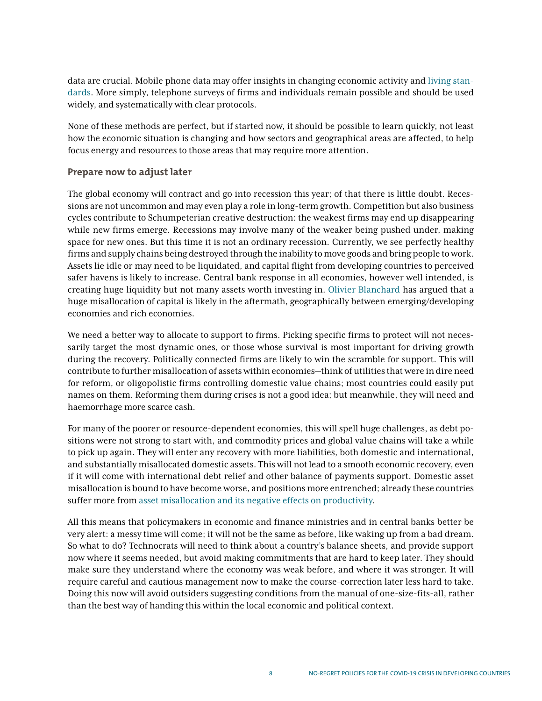data are crucial. Mobile phone data may offer insights in changing economic activity and [living stan](https://www.theigc.org/wp-content/uploads/2018/08/Blumenstock-2018-Working-paper.pdf)[dards](https://www.theigc.org/wp-content/uploads/2018/08/Blumenstock-2018-Working-paper.pdf). More simply, telephone surveys of firms and individuals remain possible and should be used widely, and systematically with clear protocols.

None of these methods are perfect, but if started now, it should be possible to learn quickly, not least how the economic situation is changing and how sectors and geographical areas are affected, to help focus energy and resources to those areas that may require more attention.

#### **Prepare now to adjust later**

The global economy will contract and go into recession this year; of that there is little doubt. Recessions are not uncommon and may even play a role in long-term growth. Competition but also business cycles contribute to Schumpeterian creative destruction: the weakest firms may end up disappearing while new firms emerge. Recessions may involve many of the weaker being pushed under, making space for new ones. But this time it is not an ordinary recession. Currently, we see perfectly healthy firms and supply chains being destroyed through the inability to move goods and bring people to work. Assets lie idle or may need to be liquidated, and capital flight from developing countries to perceived safer havens is likely to increase. Central bank response in all economies, however well intended, is creating huge liquidity but not many assets worth investing in. [Olivier Blanchard](https://bcf.princeton.edu/event-directory/covid19_05/) has argued that a huge misallocation of capital is likely in the aftermath, geographically between emerging/developing economies and rich economies.

We need a better way to allocate to support to firms. Picking specific firms to protect will not necessarily target the most dynamic ones, or those whose survival is most important for driving growth during the recovery. Politically connected firms are likely to win the scramble for support. This will contribute to further misallocation of assets within economies—think of utilities that were in dire need for reform, or oligopolistic firms controlling domestic value chains; most countries could easily put names on them. Reforming them during crises is not a good idea; but meanwhile, they will need and haemorrhage more scarce cash.

For many of the poorer or resource-dependent economies, this will spell huge challenges, as debt positions were not strong to start with, and commodity prices and global value chains will take a while to pick up again. They will enter any recovery with more liabilities, both domestic and international, and substantially misallocated domestic assets. This will not lead to a smooth economic recovery, even if it will come with international debt relief and other balance of payments support. Domestic asset misallocation is bound to have become worse, and positions more entrenched; already these countries suffer more from [asset misallocation and its negative effects on productivity.](https://www.jstor.org/stable/40506263?seq=1)

All this means that policymakers in economic and finance ministries and in central banks better be very alert: a messy time will come; it will not be the same as before, like waking up from a bad dream. So what to do? Technocrats will need to think about a country's balance sheets, and provide support now where it seems needed, but avoid making commitments that are hard to keep later. They should make sure they understand where the economy was weak before, and where it was stronger. It will require careful and cautious management now to make the course-correction later less hard to take. Doing this now will avoid outsiders suggesting conditions from the manual of one-size-fits-all, rather than the best way of handing this within the local economic and political context.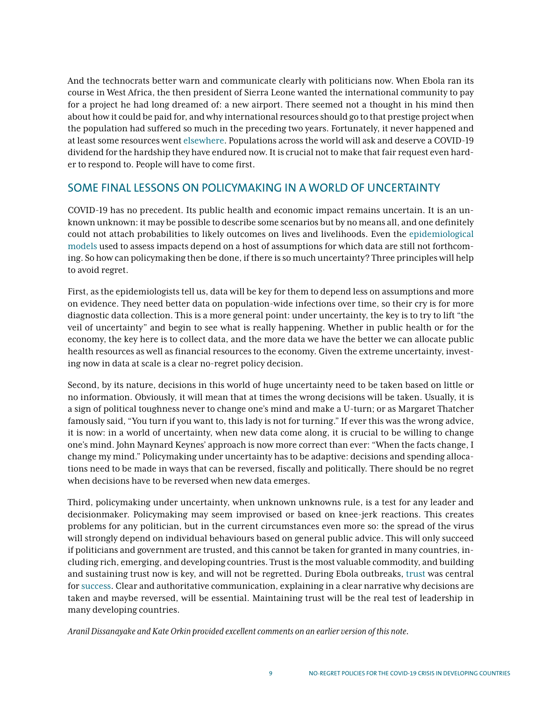And the technocrats better warn and communicate clearly with politicians now. When Ebola ran its course in West Africa, the then president of Sierra Leone wanted the international community to pay for a project he had long dreamed of: a new airport. There seemed not a thought in his mind then about how it could be paid for, and why international resources should go to that prestige project when the population had suffered so much in the preceding two years. Fortunately, it never happened and at least some resources went [elsewhere](https://www.thelancet.com/journals/langlo/article/PIIS2214-109X(18)30421-2/fulltext). Populations across the world will ask and deserve a COVID-19 dividend for the hardship they have endured now. It is crucial not to make that fair request even harder to respond to. People will have to come first.

## SOME FINAL LESSONS ON POLICYMAKING IN A WORLD OF UNCERTAINTY

COVID-19 has no precedent. Its public health and economic impact remains uncertain. It is an unknown unknown: it may be possible to describe some scenarios but by no means all, and one definitely could not attach probabilities to likely outcomes on lives and livelihoods. Even the [epidemiological](https://www.imperial.ac.uk/media/imperial-college/medicine/sph/ide/gida-fellowships/Imperial-College-COVID19-Global-Impact-26-03-2020v2.pdf)  [models](https://www.imperial.ac.uk/media/imperial-college/medicine/sph/ide/gida-fellowships/Imperial-College-COVID19-Global-Impact-26-03-2020v2.pdf) used to assess impacts depend on a host of assumptions for which data are still not forthcoming. So how can policymaking then be done, if there is so much uncertainty? Three principles will help to avoid regret.

First, as the epidemiologists tell us, data will be key for them to depend less on assumptions and more on evidence. They need better data on population-wide infections over time, so their cry is for more diagnostic data collection. This is a more general point: under uncertainty, the key is to try to lift "the veil of uncertainty" and begin to see what is really happening. Whether in public health or for the economy, the key here is to collect data, and the more data we have the better we can allocate public health resources as well as financial resources to the economy. Given the extreme uncertainty, investing now in data at scale is a clear no-regret policy decision.

Second, by its nature, decisions in this world of huge uncertainty need to be taken based on little or no information. Obviously, it will mean that at times the wrong decisions will be taken. Usually, it is a sign of political toughness never to change one's mind and make a U-turn; or as Margaret Thatcher famously said, "You turn if you want to, this lady is not for turning." If ever this was the wrong advice, it is now: in a world of uncertainty, when new data come along, it is crucial to be willing to change one's mind. John Maynard Keynes' approach is now more correct than ever: "When the facts change, I change my mind." Policymaking under uncertainty has to be adaptive: decisions and spending allocations need to be made in ways that can be reversed, fiscally and politically. There should be no regret when decisions have to be reversed when new data emerges.

Third, policymaking under uncertainty, when unknown unknowns rule, is a test for any leader and decisionmaker. Policymaking may seem improvised or based on knee-jerk reactions. This creates problems for any politician, but in the current circumstances even more so: the spread of the virus will strongly depend on individual behaviours based on general public advice. This will only succeed if politicians and government are trusted, and this cannot be taken for granted in many countries, including rich, emerging, and developing countries. Trust is the most valuable commodity, and building and sustaining trust now is key, and will not be regretted. During Ebola outbreaks, [trust](https://www.nature.com/articles/d41586-019-00892-6) was central for [success](https://ideas.repec.org/p/csa/wpaper/2020-07.html). Clear and authoritative communication, explaining in a clear narrative why decisions are taken and maybe reversed, will be essential. Maintaining trust will be the real test of leadership in many developing countries.

*Aranil Dissanayake and Kate Orkin provided excellent comments on an earlier version of this note.*